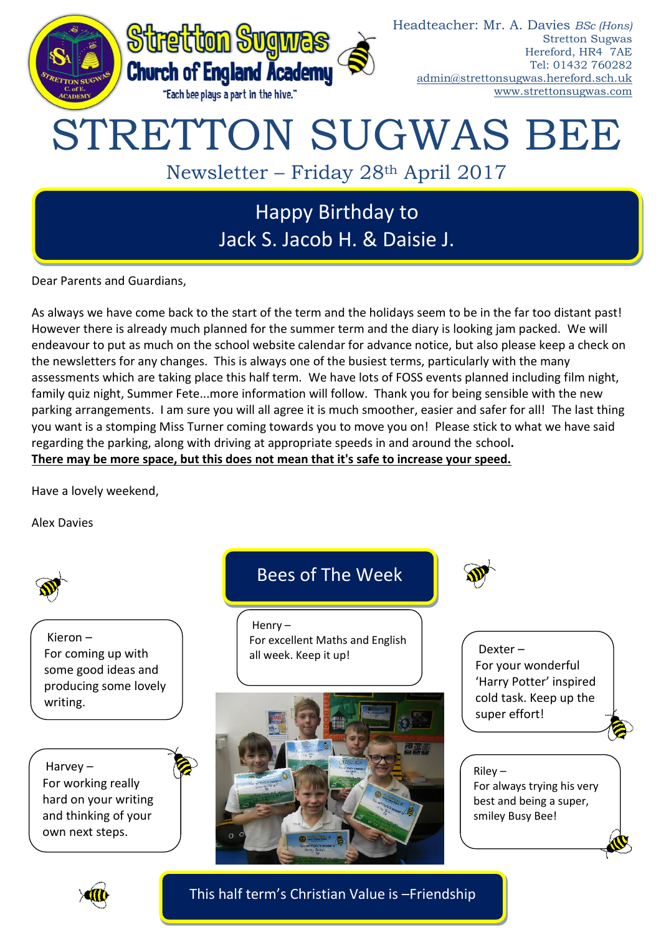

Dear Parents and Guardians,

As always we have come back to the start of the term and the holidays seem to be in the far too distant past! However there is already much planned for the summer term and the diary is looking jam packed. We will endeavour to put as much on the school website calendar for advance notice, but also please keep a check on the newsletters for any changes. This is always one of the busiest terms, particularly with the many assessments which are taking place this half term. We have lots of FOSS events planned including film night, family quiz night, Summer Fete...more information will follow. Thank you for being sensible with the new parking arrangements. I am sure you will all agree it is much smoother, easier and safer for all! The last thing you want is a stomping Miss Turner coming towards you to move you on! Please stick to what we have said regarding the parking, along with driving at appropriate speeds in and around the school**. There may be more space, but this does not mean that it's safe to increase your speed.**

Have a lovely weekend,

Alex Davies



This half term's Christian Value is –Friendship